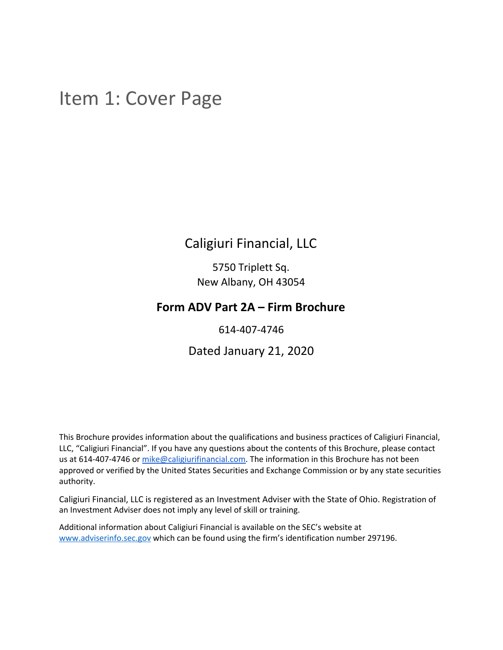## <span id="page-0-0"></span>Item 1: Cover Page

## Caligiuri Financial, LLC

5750 Triplett Sq. New Albany, OH 43054

## **Form ADV Part 2A – Firm Brochure**

614-407-4746

## Dated January 21, 2020

This Brochure provides information about the qualifications and business practices of Caligiuri Financial, LLC, "Caligiuri Financial". If you have any questions about the contents of this Brochure, please contact us at 614-407-4746 or [mike@caligiurifinancial.com](mailto:mike@caligiurifinancial.com). The information in this Brochure has not been approved or verified by the United States Securities and Exchange Commission or by any state securities authority.

Caligiuri Financial, LLC is registered as an Investment Adviser with the State of Ohio. Registration of an Investment Adviser does not imply any level of skill or training.

Additional information about Caligiuri Financial is available on the SEC's website at [www.adviserinfo.sec.gov](http://www.adviserinfo.sec.gov/) which can be found using the firm's identification number 297196.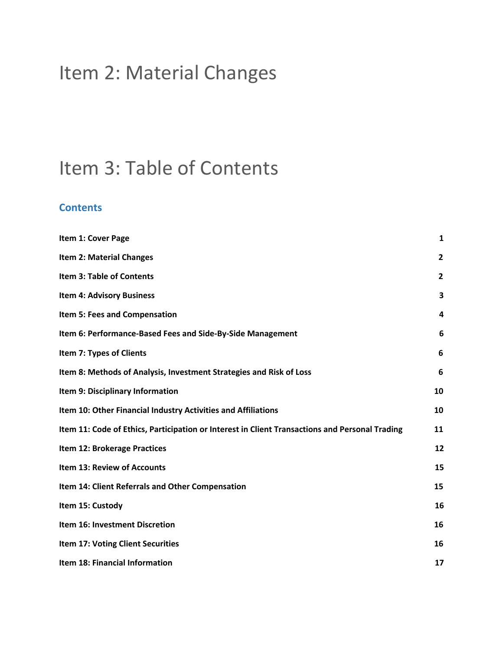## <span id="page-1-0"></span>Item 2: Material Changes

## <span id="page-1-1"></span>Item 3: Table of Contents

## **Contents**

| Item 1: Cover Page                                                                             | $\mathbf{1}$   |
|------------------------------------------------------------------------------------------------|----------------|
| <b>Item 2: Material Changes</b>                                                                | $\overline{2}$ |
| <b>Item 3: Table of Contents</b>                                                               | $\overline{2}$ |
| <b>Item 4: Advisory Business</b>                                                               | 3              |
| Item 5: Fees and Compensation                                                                  | 4              |
| Item 6: Performance-Based Fees and Side-By-Side Management                                     | 6              |
| Item 7: Types of Clients                                                                       | 6              |
| Item 8: Methods of Analysis, Investment Strategies and Risk of Loss                            | 6              |
| Item 9: Disciplinary Information                                                               | 10             |
| Item 10: Other Financial Industry Activities and Affiliations                                  | 10             |
| Item 11: Code of Ethics, Participation or Interest in Client Transactions and Personal Trading | 11             |
| Item 12: Brokerage Practices                                                                   | 12             |
| Item 13: Review of Accounts                                                                    | 15             |
| Item 14: Client Referrals and Other Compensation                                               | 15             |
| Item 15: Custody                                                                               | 16             |
| Item 16: Investment Discretion                                                                 | 16             |
| <b>Item 17: Voting Client Securities</b>                                                       | 16             |
| Item 18: Financial Information                                                                 | 17             |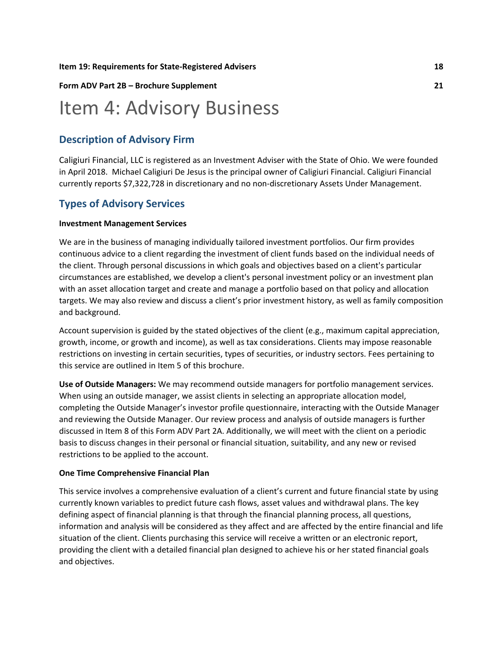#### **Item 19: Requirements for [State-Registered](#page-19-0) Advisers [18](#page-19-0)**

#### **Form ADV Part 2B – Brochure [Supplement](#page-22-0) [21](#page-22-0)**

## <span id="page-2-0"></span>Item 4: Advisory Business

### **Description of Advisory Firm**

Caligiuri Financial, LLC is registered as an Investment Adviser with the State of Ohio. We were founded in April 2018. Michael Caligiuri De Jesus is the principal owner of Caligiuri Financial. Caligiuri Financial currently reports \$7,322,728 in discretionary and no non-discretionary Assets Under Management.

### **Types of Advisory Services**

#### **Investment Management Services**

We are in the business of managing individually tailored investment portfolios. Our firm provides continuous advice to a client regarding the investment of client funds based on the individual needs of the client. Through personal discussions in which goals and objectives based on a client's particular circumstances are established, we develop a client's personal investment policy or an investment plan with an asset allocation target and create and manage a portfolio based on that policy and allocation targets. We may also review and discuss a client's prior investment history, as well as family composition and background.

Account supervision is guided by the stated objectives of the client (e.g., maximum capital appreciation, growth, income, or growth and income), as well as tax considerations. Clients may impose reasonable restrictions on investing in certain securities, types of securities, or industry sectors. Fees pertaining to this service are outlined in Item 5 of this brochure.

**Use of Outside Managers:** We may recommend outside managers for portfolio management services. When using an outside manager, we assist clients in selecting an appropriate allocation model, completing the Outside Manager's investor profile questionnaire, interacting with the Outside Manager and reviewing the Outside Manager. Our review process and analysis of outside managers is further discussed in Item 8 of this Form ADV Part 2A. Additionally, we will meet with the client on a periodic basis to discuss changes in their personal or financial situation, suitability, and any new or revised restrictions to be applied to the account.

#### **One Time Comprehensive Financial Plan**

This service involves a comprehensive evaluation of a client's current and future financial state by using currently known variables to predict future cash flows, asset values and withdrawal plans. The key defining aspect of financial planning is that through the financial planning process, all questions, information and analysis will be considered as they affect and are affected by the entire financial and life situation of the client. Clients purchasing this service will receive a written or an electronic report, providing the client with a detailed financial plan designed to achieve his or her stated financial goals and objectives.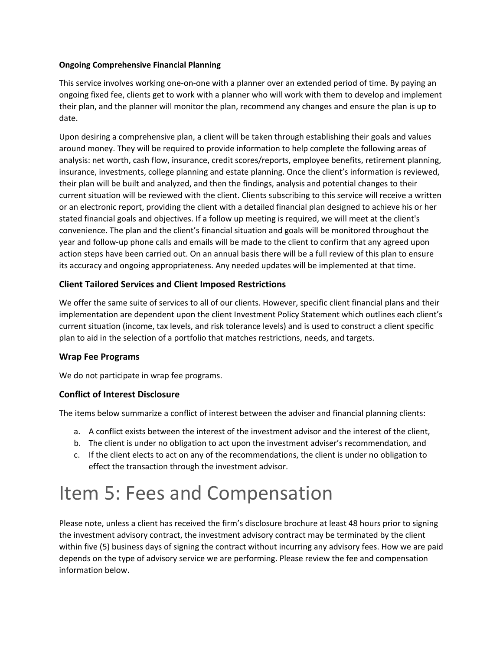#### **Ongoing Comprehensive Financial Planning**

This service involves working one-on-one with a planner over an extended period of time. By paying an ongoing fixed fee, clients get to work with a planner who will work with them to develop and implement their plan, and the planner will monitor the plan, recommend any changes and ensure the plan is up to date.

Upon desiring a comprehensive plan, a client will be taken through establishing their goals and values around money. They will be required to provide information to help complete the following areas of analysis: net worth, cash flow, insurance, credit scores/reports, employee benefits, retirement planning, insurance, investments, college planning and estate planning. Once the client's information is reviewed, their plan will be built and analyzed, and then the findings, analysis and potential changes to their current situation will be reviewed with the client. Clients subscribing to this service will receive a written or an electronic report, providing the client with a detailed financial plan designed to achieve his or her stated financial goals and objectives. If a follow up meeting is required, we will meet at the client's convenience. The plan and the client's financial situation and goals will be monitored throughout the year and follow-up phone calls and emails will be made to the client to confirm that any agreed upon action steps have been carried out. On an annual basis there will be a full review of this plan to ensure its accuracy and ongoing appropriateness. Any needed updates will be implemented at that time.

### **Client Tailored Services and Client Imposed Restrictions**

We offer the same suite of services to all of our clients. However, specific client financial plans and their implementation are dependent upon the client Investment Policy Statement which outlines each client's current situation (income, tax levels, and risk tolerance levels) and is used to construct a client specific plan to aid in the selection of a portfolio that matches restrictions, needs, and targets.

### **Wrap Fee Programs**

We do not participate in wrap fee programs.

### **Conflict of Interest Disclosure**

The items below summarize a conflict of interest between the adviser and financial planning clients:

- a. A conflict exists between the interest of the investment advisor and the interest of the client,
- b. The client is under no obligation to act upon the investment adviser's recommendation, and
- c. If the client elects to act on any of the recommendations, the client is under no obligation to effect the transaction through the investment advisor.

## <span id="page-3-0"></span>Item 5: Fees and Compensation

Please note, unless a client has received the firm's disclosure brochure at least 48 hours prior to signing the investment advisory contract, the investment advisory contract may be terminated by the client within five (5) business days of signing the contract without incurring any advisory fees. How we are paid depends on the type of advisory service we are performing. Please review the fee and compensation information below.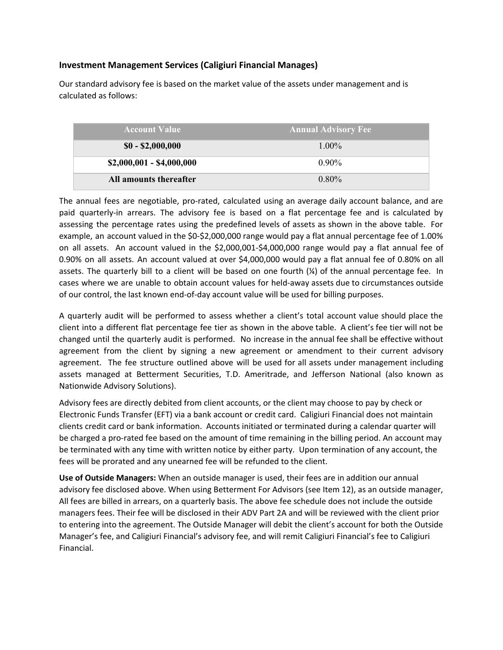### **Investment Management Services (Caligiuri Financial Manages)**

Our standard advisory fee is based on the market value of the assets under management and is calculated as follows:

| <b>Account Value</b>      | <b>Annual Advisory Fee</b> |
|---------------------------|----------------------------|
| $$0 - $2,000,000$         | $1.00\%$                   |
| $$2,000,001 - $4,000,000$ | $0.90\%$                   |
| All amounts thereafter    | $0.80\%$                   |

The annual fees are negotiable, pro-rated, calculated using an average daily account balance, and are paid quarterly-in arrears. The advisory fee is based on a flat percentage fee and is calculated by assessing the percentage rates using the predefined levels of assets as shown in the above table. For example, an account valued in the \$0-\$2,000,000 range would pay a flat annual percentage fee of 1.00% on all assets. An account valued in the \$2,000,001-\$4,000,000 range would pay a flat annual fee of 0.90% on all assets. An account valued at over \$4,000,000 would pay a flat annual fee of 0.80% on all assets. The quarterly bill to a client will be based on one fourth (¼) of the annual percentage fee. In cases where we are unable to obtain account values for held-away assets due to circumstances outside of our control, the last known end-of-day account value will be used for billing purposes.

A quarterly audit will be performed to assess whether a client's total account value should place the client into a different flat percentage fee tier as shown in the above table. A client's fee tier will not be changed until the quarterly audit is performed. No increase in the annual fee shall be effective without agreement from the client by signing a new agreement or amendment to their current advisory agreement. The fee structure outlined above will be used for all assets under management including assets managed at Betterment Securities, T.D. Ameritrade, and Jefferson National (also known as Nationwide Advisory Solutions).

Advisory fees are directly debited from client accounts, or the client may choose to pay by check or Electronic Funds Transfer (EFT) via a bank account or credit card. Caligiuri Financial does not maintain clients credit card or bank information. Accounts initiated or terminated during a calendar quarter will be charged a pro-rated fee based on the amount of time remaining in the billing period. An account may be terminated with any time with written notice by either party. Upon termination of any account, the fees will be prorated and any unearned fee will be refunded to the client.

**Use of Outside Managers:** When an outside manager is used, their fees are in addition our annual advisory fee disclosed above. When using Betterment For Advisors (see Item 12), as an outside manager, All fees are billed in arrears, on a quarterly basis. The above fee schedule does not include the outside managers fees. Their fee will be disclosed in their ADV Part 2A and will be reviewed with the client prior to entering into the agreement. The Outside Manager will debit the client's account for both the Outside Manager's fee, and Caligiuri Financial's advisory fee, and will remit Caligiuri Financial's fee to Caligiuri Financial.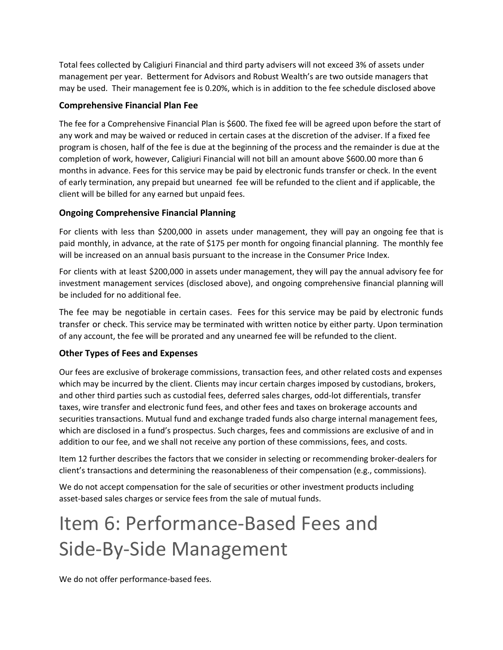Total fees collected by Caligiuri Financial and third party advisers will not exceed 3% of assets under management per year. Betterment for Advisors and Robust Wealth's are two outside managers that may be used. Their management fee is 0.20%, which is in addition to the fee schedule disclosed above

### **Comprehensive Financial Plan Fee**

The fee for a Comprehensive Financial Plan is \$600. The fixed fee will be agreed upon before the start of any work and may be waived or reduced in certain cases at the discretion of the adviser. If a fixed fee program is chosen, half of the fee is due at the beginning of the process and the remainder is due at the completion of work, however, Caligiuri Financial will not bill an amount above \$600.00 more than 6 months in advance. Fees for this service may be paid by electronic funds transfer or check. In the event of early termination, any prepaid but unearned fee will be refunded to the client and if applicable, the client will be billed for any earned but unpaid fees.

### **Ongoing Comprehensive Financial Planning**

For clients with less than \$200,000 in assets under management, they will pay an ongoing fee that is paid monthly, in advance, at the rate of \$175 per month for ongoing financial planning. The monthly fee will be increased on an annual basis pursuant to the increase in the Consumer Price Index.

For clients with at least \$200,000 in assets under management, they will pay the annual advisory fee for investment management services (disclosed above), and ongoing comprehensive financial planning will be included for no additional fee.

The fee may be negotiable in certain cases. Fees for this service may be paid by electronic funds transfer or check. This service may be terminated with written notice by either party. Upon termination of any account, the fee will be prorated and any unearned fee will be refunded to the client.

### **Other Types of Fees and Expenses**

Our fees are exclusive of brokerage commissions, transaction fees, and other related costs and expenses which may be incurred by the client. Clients may incur certain charges imposed by custodians, brokers, and other third parties such as custodial fees, deferred sales charges, odd-lot differentials, transfer taxes, wire transfer and electronic fund fees, and other fees and taxes on brokerage accounts and securities transactions. Mutual fund and exchange traded funds also charge internal management fees, which are disclosed in a fund's prospectus. Such charges, fees and commissions are exclusive of and in addition to our fee, and we shall not receive any portion of these commissions, fees, and costs.

Item 12 further describes the factors that we consider in selecting or recommending broker-dealers for client's transactions and determining the reasonableness of their compensation (e.g., commissions).

We do not accept compensation for the sale of securities or other investment products including asset-based sales charges or service fees from the sale of mutual funds.

# <span id="page-5-0"></span>Item 6: Performance-Based Fees and Side-By-Side Management

We do not offer performance-based fees.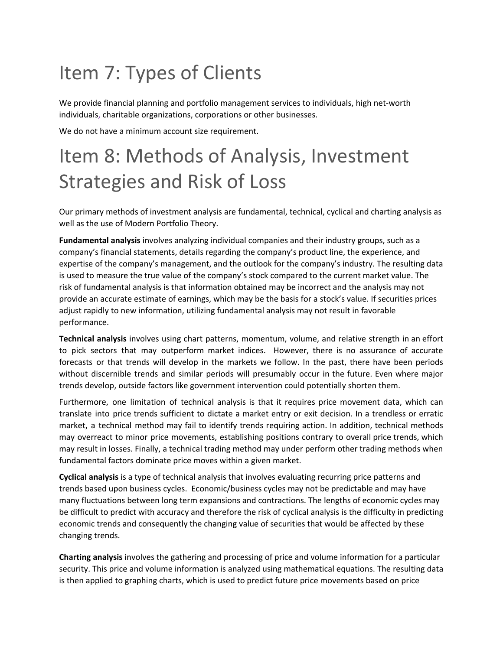## <span id="page-6-0"></span>Item 7: Types of Clients

We provide financial planning and portfolio management services to individuals, high net-worth individuals, charitable organizations, corporations or other businesses.

We do not have a minimum account size requirement.

# <span id="page-6-1"></span>Item 8: Methods of Analysis, Investment Strategies and Risk of Loss

Our primary methods of investment analysis are fundamental, technical, cyclical and charting analysis as well as the use of Modern Portfolio Theory.

**Fundamental analysis** involves analyzing individual companies and their industry groups, such as a company's financial statements, details regarding the company's product line, the experience, and expertise of the company's management, and the outlook for the company's industry. The resulting data is used to measure the true value of the company's stock compared to the current market value. The risk of fundamental analysis is that information obtained may be incorrect and the analysis may not provide an accurate estimate of earnings, which may be the basis for a stock's value. If securities prices adjust rapidly to new information, utilizing fundamental analysis may not result in favorable performance.

**Technical analysis** involves using chart patterns, momentum, volume, and relative strength in an effort to pick sectors that may outperform market indices. However, there is no assurance of accurate forecasts or that trends will develop in the markets we follow. In the past, there have been periods without discernible trends and similar periods will presumably occur in the future. Even where major trends develop, outside factors like government intervention could potentially shorten them.

Furthermore, one limitation of technical analysis is that it requires price movement data, which can translate into price trends sufficient to dictate a market entry or exit decision. In a trendless or erratic market, a technical method may fail to identify trends requiring action. In addition, technical methods may overreact to minor price movements, establishing positions contrary to overall price trends, which may result in losses. Finally, a technical trading method may under perform other trading methods when fundamental factors dominate price moves within a given market.

**Cyclical analysis** is a type of technical analysis that involves evaluating recurring price patterns and trends based upon business cycles. Economic/business cycles may not be predictable and may have many fluctuations between long term expansions and contractions. The lengths of economic cycles may be difficult to predict with accuracy and therefore the risk of cyclical analysis is the difficulty in predicting economic trends and consequently the changing value of securities that would be affected by these changing trends.

**Charting analysis** involves the gathering and processing of price and volume information for a particular security. This price and volume information is analyzed using mathematical equations. The resulting data is then applied to graphing charts, which is used to predict future price movements based on price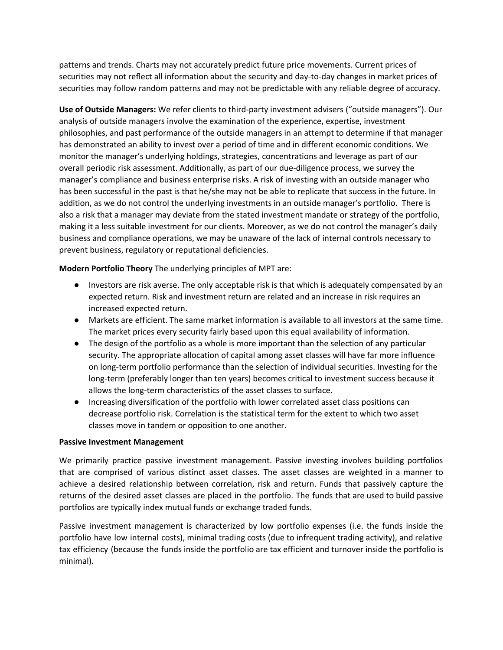patterns and trends. Charts may not accurately predict future price movements. Current prices of securities may not reflect all information about the security and day-to-day changes in market prices of securities may follow random patterns and may not be predictable with any reliable degree of accuracy.

**Use of Outside Managers:** We refer clients to third-party investment advisers ("outside managers"). Our analysis of outside managers involve the examination of the experience, expertise, investment philosophies, and past performance of the outside managers in an attempt to determine if that manager has demonstrated an ability to invest over a period of time and in different economic conditions. We monitor the manager's underlying holdings, strategies, concentrations and leverage as part of our overall periodic risk assessment. Additionally, as part of our due-diligence process, we survey the manager's compliance and business enterprise risks. A risk of investing with an outside manager who has been successful in the past is that he/she may not be able to replicate that success in the future. In addition, as we do not control the underlying investments in an outside manager's portfolio. There is also a risk that a manager may deviate from the stated investment mandate or strategy of the portfolio, making it a less suitable investment for our clients. Moreover, as we do not control the manager's daily business and compliance operations, we may be unaware of the lack of internal controls necessary to prevent business, regulatory or reputational deficiencies.

**Modern Portfolio Theory** The underlying principles of MPT are:

- Investors are risk averse. The only acceptable risk is that which is adequately compensated by an expected return. Risk and investment return are related and an increase in risk requires an increased expected return.
- Markets are efficient. The same market information is available to all investors at the same time. The market prices every security fairly based upon this equal availability of information.
- The design of the portfolio as a whole is more important than the selection of any particular security. The appropriate allocation of capital among asset classes will have far more influence on long-term portfolio performance than the selection of individual securities. Investing for the long-term (preferably longer than ten years) becomes critical to investment success because it allows the long-term characteristics of the asset classes to surface.
- Increasing diversification of the portfolio with lower correlated asset class positions can decrease portfolio risk. Correlation is the statistical term for the extent to which two asset classes move in tandem or opposition to one another.

#### **Passive Investment Management**

We primarily practice passive investment management. Passive investing involves building portfolios that are comprised of various distinct asset classes. The asset classes are weighted in a manner to achieve a desired relationship between correlation, risk and return. Funds that passively capture the returns of the desired asset classes are placed in the portfolio. The funds that are used to build passive portfolios are typically index mutual funds or exchange traded funds.

Passive investment management is characterized by low portfolio expenses (i.e. the funds inside the portfolio have low internal costs), minimal trading costs (due to infrequent trading activity), and relative tax efficiency (because the funds inside the portfolio are tax efficient and turnover inside the portfolio is minimal).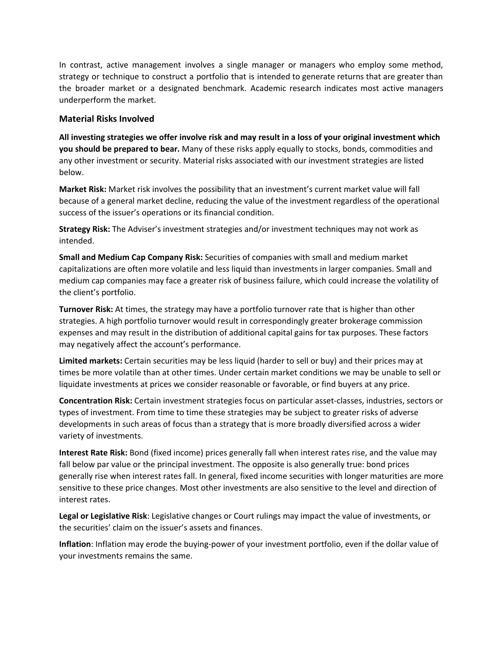In contrast, active management involves a single manager or managers who employ some method, strategy or technique to construct a portfolio that is intended to generate returns that are greater than the broader market or a designated benchmark. Academic research indicates most active managers underperform the market.

#### **Material Risks Involved**

All investing strategies we offer involve risk and may result in a loss of your original investment which **you should be prepared to bear.** Many of these risks apply equally to stocks, bonds, commodities and any other investment or security. Material risks associated with our investment strategies are listed below.

**Market Risk:** Market risk involves the possibility that an investment's current market value will fall because of a general market decline, reducing the value of the investment regardless of the operational success of the issuer's operations or its financial condition.

**Strategy Risk:** The Adviser's investment strategies and/or investment techniques may not work as intended.

**Small and Medium Cap Company Risk:** Securities of companies with small and medium market capitalizations are often more volatile and less liquid than investments in larger companies. Small and medium cap companies may face a greater risk of business failure, which could increase the volatility of the client's portfolio.

**Turnover Risk:** At times, the strategy may have a portfolio turnover rate that is higher than other strategies. A high portfolio turnover would result in correspondingly greater brokerage commission expenses and may result in the distribution of additional capital gains for tax purposes. These factors may negatively affect the account's performance.

**Limited markets:** Certain securities may be less liquid (harder to sell or buy) and their prices may at times be more volatile than at other times. Under certain market conditions we may be unable to sell or liquidate investments at prices we consider reasonable or favorable, or find buyers at any price.

**Concentration Risk:** Certain investment strategies focus on particular asset-classes, industries, sectors or types of investment. From time to time these strategies may be subject to greater risks of adverse developments in such areas of focus than a strategy that is more broadly diversified across a wider variety of investments.

**Interest Rate Risk:** Bond (fixed income) prices generally fall when interest rates rise, and the value may fall below par value or the principal investment. The opposite is also generally true: bond prices generally rise when interest rates fall. In general, fixed income securities with longer maturities are more sensitive to these price changes. Most other investments are also sensitive to the level and direction of interest rates.

**Legal or Legislative Risk**: Legislative changes or Court rulings may impact the value of investments, or the securities' claim on the issuer's assets and finances.

**Inflation**: Inflation may erode the buying-power of your investment portfolio, even if the dollar value of your investments remains the same.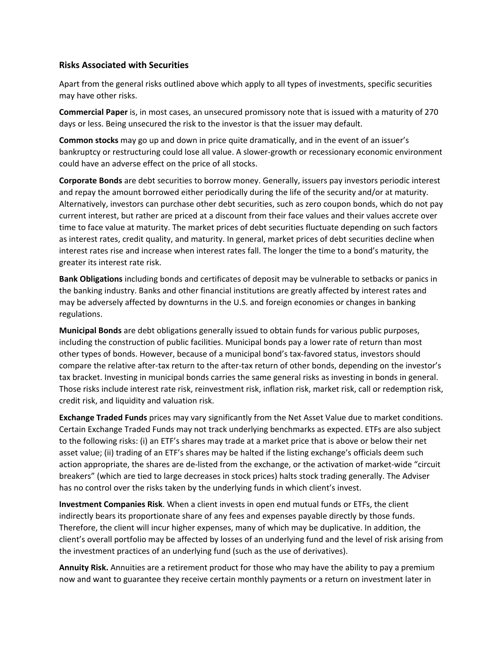#### **Risks Associated with Securities**

Apart from the general risks outlined above which apply to all types of investments, specific securities may have other risks.

**Commercial Paper** is, in most cases, an unsecured promissory note that is issued with a maturity of 270 days or less. Being unsecured the risk to the investor is that the issuer may default.

**Common stocks** may go up and down in price quite dramatically, and in the event of an issuer's bankruptcy or restructuring could lose all value. A slower-growth or recessionary economic environment could have an adverse effect on the price of all stocks.

**Corporate Bonds** are debt securities to borrow money. Generally, issuers pay investors periodic interest and repay the amount borrowed either periodically during the life of the security and/or at maturity. Alternatively, investors can purchase other debt securities, such as zero coupon bonds, which do not pay current interest, but rather are priced at a discount from their face values and their values accrete over time to face value at maturity. The market prices of debt securities fluctuate depending on such factors as interest rates, credit quality, and maturity. In general, market prices of debt securities decline when interest rates rise and increase when interest rates fall. The longer the time to a bond's maturity, the greater its interest rate risk.

**Bank Obligations** including bonds and certificates of deposit may be vulnerable to setbacks or panics in the banking industry. Banks and other financial institutions are greatly affected by interest rates and may be adversely affected by downturns in the U.S. and foreign economies or changes in banking regulations.

**Municipal Bonds** are debt obligations generally issued to obtain funds for various public purposes, including the construction of public facilities. Municipal bonds pay a lower rate of return than most other types of bonds. However, because of a municipal bond's tax-favored status, investors should compare the relative after-tax return to the after-tax return of other bonds, depending on the investor's tax bracket. Investing in municipal bonds carries the same general risks as investing in bonds in general. Those risks include interest rate risk, reinvestment risk, inflation risk, market risk, call or redemption risk, credit risk, and liquidity and valuation risk.

**Exchange Traded Funds** prices may vary significantly from the Net Asset Value due to market conditions. Certain Exchange Traded Funds may not track underlying benchmarks as expected. ETFs are also subject to the following risks: (i) an ETF's shares may trade at a market price that is above or below their net asset value; (ii) trading of an ETF's shares may be halted if the listing exchange's officials deem such action appropriate, the shares are de-listed from the exchange, or the activation of market-wide "circuit breakers" (which are tied to large decreases in stock prices) halts stock trading generally. The Adviser has no control over the risks taken by the underlying funds in which client's invest.

**Investment Companies Risk**. When a client invests in open end mutual funds or ETFs, the client indirectly bears its proportionate share of any fees and expenses payable directly by those funds. Therefore, the client will incur higher expenses, many of which may be duplicative. In addition, the client's overall portfolio may be affected by losses of an underlying fund and the level of risk arising from the investment practices of an underlying fund (such as the use of derivatives).

**Annuity Risk.** Annuities are a retirement product for those who may have the ability to pay a premium now and want to guarantee they receive certain monthly payments or a return on investment later in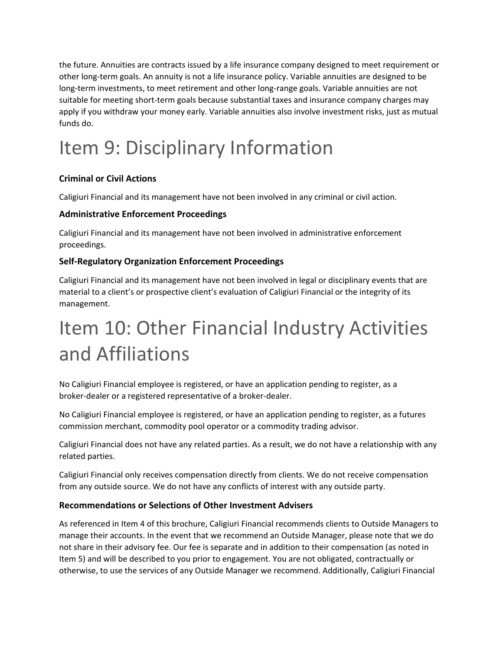the future. Annuities are contracts issued by a life insurance company designed to meet requirement or other long-term goals. An annuity is not a life insurance policy. Variable annuities are designed to be long-term investments, to meet retirement and other long-range goals. Variable annuities are not suitable for meeting short-term goals because substantial taxes and insurance company charges may apply if you withdraw your money early. Variable annuities also involve investment risks, just as mutual funds do.

# <span id="page-10-0"></span>Item 9: Disciplinary Information

## **Criminal or Civil Actions**

Caligiuri Financial and its management have not been involved in any criminal or civil action.

### **Administrative Enforcement Proceedings**

Caligiuri Financial and its management have not been involved in administrative enforcement proceedings.

### **Self-Regulatory Organization Enforcement Proceedings**

Caligiuri Financial and its management have not been involved in legal or disciplinary events that are material to a client's or prospective client's evaluation of Caligiuri Financial or the integrity of its management.

## <span id="page-10-1"></span>Item 10: Other Financial Industry Activities and Affiliations

No Caligiuri Financial employee is registered, or have an application pending to register, as a broker-dealer or a registered representative of a broker-dealer.

No Caligiuri Financial employee is registered, or have an application pending to register, as a futures commission merchant, commodity pool operator or a commodity trading advisor.

Caligiuri Financial does not have any related parties. As a result, we do not have a relationship with any related parties.

Caligiuri Financial only receives compensation directly from clients. We do not receive compensation from any outside source. We do not have any conflicts of interest with any outside party.

### **Recommendations or Selections of Other Investment Advisers**

As referenced in Item 4 of this brochure, Caligiuri Financial recommends clients to Outside Managers to manage their accounts. In the event that we recommend an Outside Manager, please note that we do not share in their advisory fee. Our fee is separate and in addition to their compensation (as noted in Item 5) and will be described to you prior to engagement. You are not obligated, contractually or otherwise, to use the services of any Outside Manager we recommend. Additionally, Caligiuri Financial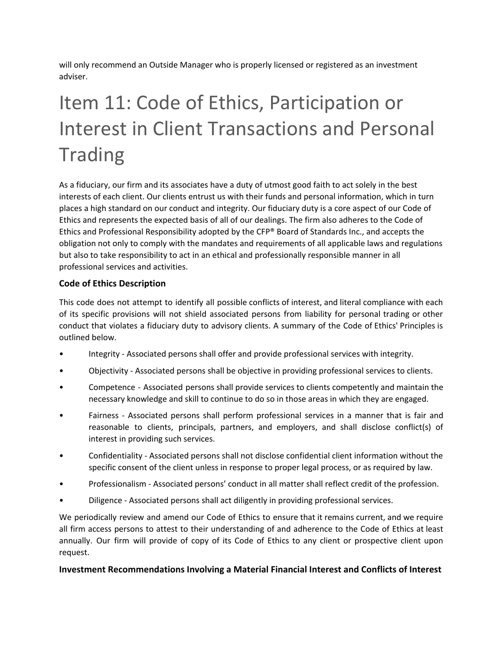will only recommend an Outside Manager who is properly licensed or registered as an investment adviser.

# <span id="page-11-0"></span>Item 11: Code of Ethics, Participation or Interest in Client Transactions and Personal **Trading**

As a fiduciary, our firm and its associates have a duty of utmost good faith to act solely in the best interests of each client. Our clients entrust us with their funds and personal information, which in turn places a high standard on our conduct and integrity. Our fiduciary duty is a core aspect of our Code of Ethics and represents the expected basis of all of our dealings. The firm also adheres to the Code of Ethics and Professional Responsibility adopted by the CFP® Board of Standards Inc., and accepts the obligation not only to comply with the mandates and requirements of all applicable laws and regulations but also to take responsibility to act in an ethical and professionally responsible manner in all professional services and activities.

### **Code of Ethics Description**

This code does not attempt to identify all possible conflicts of interest, and literal compliance with each of its specific provisions will not shield associated persons from liability for personal trading or other conduct that violates a fiduciary duty to advisory clients. A summary of the Code of Ethics' Principles is outlined below.

- Integrity Associated persons shall offer and provide professional services with integrity.
- Objectivity Associated persons shall be objective in providing professional services to clients.
- Competence Associated persons shall provide services to clients competently and maintain the necessary knowledge and skill to continue to do so in those areas in which they are engaged.
- Fairness Associated persons shall perform professional services in a manner that is fair and reasonable to clients, principals, partners, and employers, and shall disclose conflict(s) of interest in providing such services.
- Confidentiality Associated persons shall not disclose confidential client information without the specific consent of the client unless in response to proper legal process, or as required by law.
- Professionalism Associated persons' conduct in all matter shall reflect credit of the profession.
- Diligence Associated persons shall act diligently in providing professional services.

We periodically review and amend our Code of Ethics to ensure that it remains current, and we require all firm access persons to attest to their understanding of and adherence to the Code of Ethics at least annually. Our firm will provide of copy of its Code of Ethics to any client or prospective client upon request.

### **Investment Recommendations Involving a Material Financial Interest and Conflicts of Interest**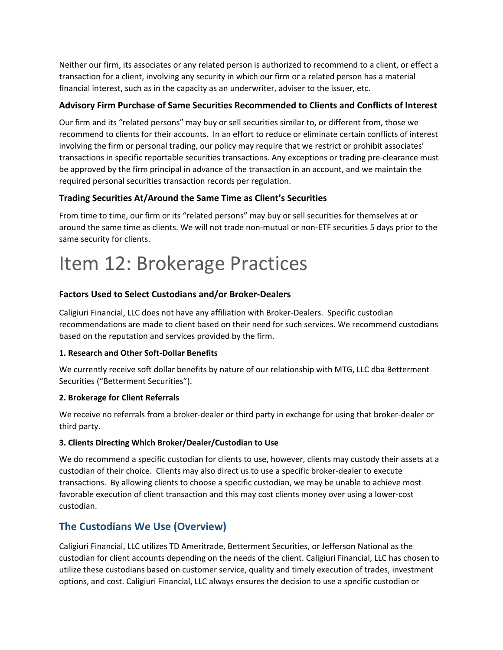Neither our firm, its associates or any related person is authorized to recommend to a client, or effect a transaction for a client, involving any security in which our firm or a related person has a material financial interest, such as in the capacity as an underwriter, adviser to the issuer, etc.

### **Advisory Firm Purchase of Same Securities Recommended to Clients and Conflicts of Interest**

Our firm and its "related persons" may buy or sell securities similar to, or different from, those we recommend to clients for their accounts. In an effort to reduce or eliminate certain conflicts of interest involving the firm or personal trading, our policy may require that we restrict or prohibit associates' transactions in specific reportable securities transactions. Any exceptions or trading pre-clearance must be approved by the firm principal in advance of the transaction in an account, and we maintain the required personal securities transaction records per regulation.

### **Trading Securities At/Around the Same Time as Client's Securities**

From time to time, our firm or its "related persons" may buy or sell securities for themselves at or around the same time as clients. We will not trade non-mutual or non-ETF securities 5 days prior to the same security for clients.

## <span id="page-12-0"></span>Item 12: Brokerage Practices

### **Factors Used to Select Custodians and/or Broker-Dealers**

Caligiuri Financial, LLC does not have any affiliation with Broker-Dealers. Specific custodian recommendations are made to client based on their need for such services. We recommend custodians based on the reputation and services provided by the firm.

### **1. Research and Other Soft-Dollar Benefits**

We currently receive soft dollar benefits by nature of our relationship with MTG, LLC dba Betterment Securities ("Betterment Securities").

### **2. Brokerage for Client Referrals**

We receive no referrals from a broker-dealer or third party in exchange for using that broker-dealer or third party.

### **3. Clients Directing Which Broker/Dealer/Custodian to Use**

We do recommend a specific custodian for clients to use, however, clients may custody their assets at a custodian of their choice. Clients may also direct us to use a specific broker-dealer to execute transactions. By allowing clients to choose a specific custodian, we may be unable to achieve most favorable execution of client transaction and this may cost clients money over using a lower-cost custodian.

## **The Custodians We Use (Overview)**

Caligiuri Financial, LLC utilizes TD Ameritrade, Betterment Securities, or Jefferson National as the custodian for client accounts depending on the needs of the client. Caligiuri Financial, LLC has chosen to utilize these custodians based on customer service, quality and timely execution of trades, investment options, and cost. Caligiuri Financial, LLC always ensures the decision to use a specific custodian or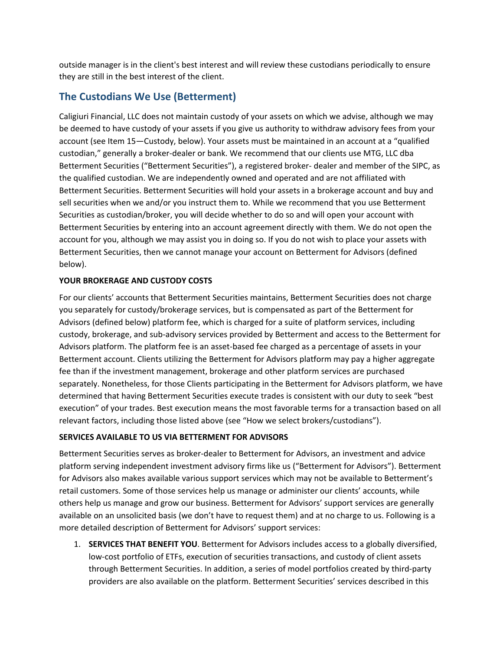outside manager is in the client's best interest and will review these custodians periodically to ensure they are still in the best interest of the client.

## **The Custodians We Use (Betterment)**

Caligiuri Financial, LLC does not maintain custody of your assets on which we advise, although we may be deemed to have custody of your assets if you give us authority to withdraw advisory fees from your account (see Item 15—Custody, below). Your assets must be maintained in an account at a "qualified custodian," generally a broker-dealer or bank. We recommend that our clients use MTG, LLC dba Betterment Securities ("Betterment Securities"), a registered broker- dealer and member of the SIPC, as the qualified custodian. We are independently owned and operated and are not affiliated with Betterment Securities. Betterment Securities will hold your assets in a brokerage account and buy and sell securities when we and/or you instruct them to. While we recommend that you use Betterment Securities as custodian/broker, you will decide whether to do so and will open your account with Betterment Securities by entering into an account agreement directly with them. We do not open the account for you, although we may assist you in doing so. If you do not wish to place your assets with Betterment Securities, then we cannot manage your account on Betterment for Advisors (defined below).

### **YOUR BROKERAGE AND CUSTODY COSTS**

For our clients' accounts that Betterment Securities maintains, Betterment Securities does not charge you separately for custody/brokerage services, but is compensated as part of the Betterment for Advisors (defined below) platform fee, which is charged for a suite of platform services, including custody, brokerage, and sub-advisory services provided by Betterment and access to the Betterment for Advisors platform. The platform fee is an asset-based fee charged as a percentage of assets in your Betterment account. Clients utilizing the Betterment for Advisors platform may pay a higher aggregate fee than if the investment management, brokerage and other platform services are purchased separately. Nonetheless, for those Clients participating in the Betterment for Advisors platform, we have determined that having Betterment Securities execute trades is consistent with our duty to seek "best execution" of your trades. Best execution means the most favorable terms for a transaction based on all relevant factors, including those listed above (see "How we select brokers/custodians").

### **SERVICES AVAILABLE TO US VIA BETTERMENT FOR ADVISORS**

Betterment Securities serves as broker-dealer to Betterment for Advisors, an investment and advice platform serving independent investment advisory firms like us ("Betterment for Advisors"). Betterment for Advisors also makes available various support services which may not be available to Betterment's retail customers. Some of those services help us manage or administer our clients' accounts, while others help us manage and grow our business. Betterment for Advisors' support services are generally available on an unsolicited basis (we don't have to request them) and at no charge to us. Following is a more detailed description of Betterment for Advisors' support services:

1. **SERVICES THAT BENEFIT YOU**. Betterment for Advisors includes access to a globally diversified, low-cost portfolio of ETFs, execution of securities transactions, and custody of client assets through Betterment Securities. In addition, a series of model portfolios created by third-party providers are also available on the platform. Betterment Securities' services described in this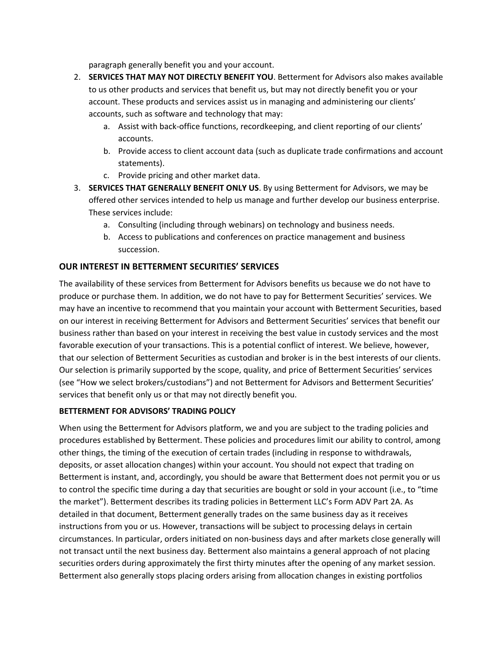paragraph generally benefit you and your account.

- 2. **SERVICES THAT MAY NOT DIRECTLY BENEFIT YOU**. Betterment for Advisors also makes available to us other products and services that benefit us, but may not directly benefit you or your account. These products and services assist us in managing and administering our clients' accounts, such as software and technology that may:
	- a. Assist with back-office functions, recordkeeping, and client reporting of our clients' accounts.
	- b. Provide access to client account data (such as duplicate trade confirmations and account statements).
	- c. Provide pricing and other market data.
- 3. **SERVICES THAT GENERALLY BENEFIT ONLY US**. By using Betterment for Advisors, we may be offered other services intended to help us manage and further develop our business enterprise. These services include:
	- a. Consulting (including through webinars) on technology and business needs.
	- b. Access to publications and conferences on practice management and business succession.

### **OUR INTEREST IN BETTERMENT SECURITIES' SERVICES**

The availability of these services from Betterment for Advisors benefits us because we do not have to produce or purchase them. In addition, we do not have to pay for Betterment Securities' services. We may have an incentive to recommend that you maintain your account with Betterment Securities, based on our interest in receiving Betterment for Advisors and Betterment Securities' services that benefit our business rather than based on your interest in receiving the best value in custody services and the most favorable execution of your transactions. This is a potential conflict of interest. We believe, however, that our selection of Betterment Securities as custodian and broker is in the best interests of our clients. Our selection is primarily supported by the scope, quality, and price of Betterment Securities' services (see "How we select brokers/custodians") and not Betterment for Advisors and Betterment Securities' services that benefit only us or that may not directly benefit you.

### **BETTERMENT FOR ADVISORS' TRADING POLICY**

When using the Betterment for Advisors platform, we and you are subject to the trading policies and procedures established by Betterment. These policies and procedures limit our ability to control, among other things, the timing of the execution of certain trades (including in response to withdrawals, deposits, or asset allocation changes) within your account. You should not expect that trading on Betterment is instant, and, accordingly, you should be aware that Betterment does not permit you or us to control the specific time during a day that securities are bought or sold in your account (i.e., to "time the market"). Betterment describes its trading policies in Betterment LLC's Form ADV Part 2A. As detailed in that document, Betterment generally trades on the same business day as it receives instructions from you or us. However, transactions will be subject to processing delays in certain circumstances. In particular, orders initiated on non-business days and after markets close generally will not transact until the next business day. Betterment also maintains a general approach of not placing securities orders during approximately the first thirty minutes after the opening of any market session. Betterment also generally stops placing orders arising from allocation changes in existing portfolios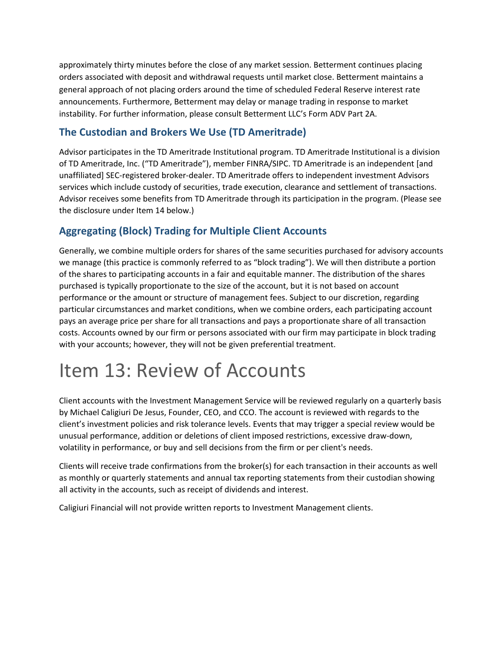approximately thirty minutes before the close of any market session. Betterment continues placing orders associated with deposit and withdrawal requests until market close. Betterment maintains a general approach of not placing orders around the time of scheduled Federal Reserve interest rate announcements. Furthermore, Betterment may delay or manage trading in response to market instability. For further information, please consult Betterment LLC's Form ADV Part 2A.

## **The Custodian and Brokers We Use (TD Ameritrade)**

Advisor participates in the TD Ameritrade Institutional program. TD Ameritrade Institutional is a division of TD Ameritrade, Inc. ("TD Ameritrade"), member FINRA/SIPC. TD Ameritrade is an independent [and unaffiliated] SEC-registered broker-dealer. TD Ameritrade offers to independent investment Advisors services which include custody of securities, trade execution, clearance and settlement of transactions. Advisor receives some benefits from TD Ameritrade through its participation in the program. (Please see the disclosure under Item 14 below.)

## **Aggregating (Block) Trading for Multiple Client Accounts**

Generally, we combine multiple orders for shares of the same securities purchased for advisory accounts we manage (this practice is commonly referred to as "block trading"). We will then distribute a portion of the shares to participating accounts in a fair and equitable manner. The distribution of the shares purchased is typically proportionate to the size of the account, but it is not based on account performance or the amount or structure of management fees. Subject to our discretion, regarding particular circumstances and market conditions, when we combine orders, each participating account pays an average price per share for all transactions and pays a proportionate share of all transaction costs. Accounts owned by our firm or persons associated with our firm may participate in block trading with your accounts; however, they will not be given preferential treatment.

## <span id="page-15-0"></span>Item 13: Review of Accounts

Client accounts with the Investment Management Service will be reviewed regularly on a quarterly basis by Michael Caligiuri De Jesus, Founder, CEO, and CCO. The account is reviewed with regards to the client's investment policies and risk tolerance levels. Events that may trigger a special review would be unusual performance, addition or deletions of client imposed restrictions, excessive draw-down, volatility in performance, or buy and sell decisions from the firm or per client's needs.

Clients will receive trade confirmations from the broker(s) for each transaction in their accounts as well as monthly or quarterly statements and annual tax reporting statements from their custodian showing all activity in the accounts, such as receipt of dividends and interest.

Caligiuri Financial will not provide written reports to Investment Management clients.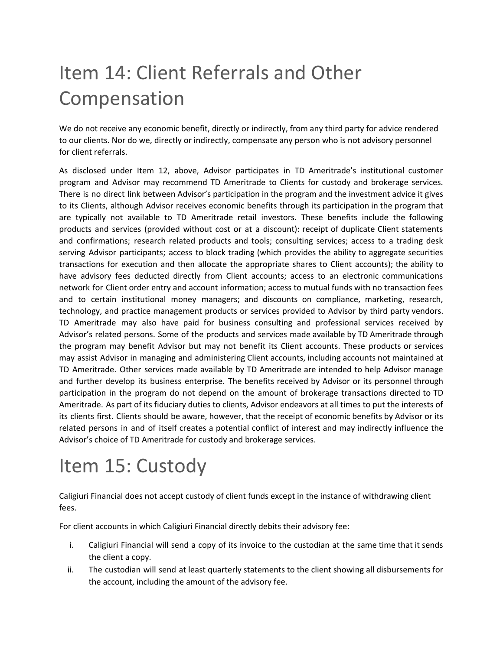# <span id="page-16-0"></span>Item 14: Client Referrals and Other Compensation

We do not receive any economic benefit, directly or indirectly, from any third party for advice rendered to our clients. Nor do we, directly or indirectly, compensate any person who is not advisory personnel for client referrals.

As disclosed under Item 12, above, Advisor participates in TD Ameritrade's institutional customer program and Advisor may recommend TD Ameritrade to Clients for custody and brokerage services. There is no direct link between Advisor's participation in the program and the investment advice it gives to its Clients, although Advisor receives economic benefits through its participation in the program that are typically not available to TD Ameritrade retail investors. These benefits include the following products and services (provided without cost or at a discount): receipt of duplicate Client statements and confirmations; research related products and tools; consulting services; access to a trading desk serving Advisor participants; access to block trading (which provides the ability to aggregate securities transactions for execution and then allocate the appropriate shares to Client accounts); the ability to have advisory fees deducted directly from Client accounts; access to an electronic communications network for Client order entry and account information; access to mutual funds with no transaction fees and to certain institutional money managers; and discounts on compliance, marketing, research, technology, and practice management products or services provided to Advisor by third party vendors. TD Ameritrade may also have paid for business consulting and professional services received by Advisor's related persons. Some of the products and services made available by TD Ameritrade through the program may benefit Advisor but may not benefit its Client accounts. These products or services may assist Advisor in managing and administering Client accounts, including accounts not maintained at TD Ameritrade. Other services made available by TD Ameritrade are intended to help Advisor manage and further develop its business enterprise. The benefits received by Advisor or its personnel through participation in the program do not depend on the amount of brokerage transactions directed to TD Ameritrade. As part of its fiduciary duties to clients, Advisor endeavors at all times to put the interests of its clients first. Clients should be aware, however, that the receipt of economic benefits by Advisor or its related persons in and of itself creates a potential conflict of interest and may indirectly influence the Advisor's choice of TD Ameritrade for custody and brokerage services.

## <span id="page-16-1"></span>Item 15: Custody

Caligiuri Financial does not accept custody of client funds except in the instance of withdrawing client fees.

For client accounts in which Caligiuri Financial directly debits their advisory fee:

- i. Caligiuri Financial will send a copy of its invoice to the custodian at the same time that it sends the client a copy.
- ii. The custodian will send at least quarterly statements to the client showing all disbursements for the account, including the amount of the advisory fee.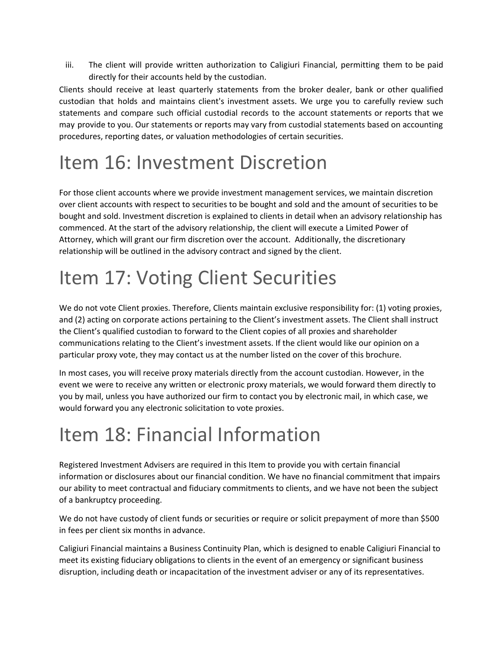iii. The client will provide written authorization to Caligiuri Financial, permitting them to be paid directly for their accounts held by the custodian.

Clients should receive at least quarterly statements from the broker dealer, bank or other qualified custodian that holds and maintains client's investment assets. We urge you to carefully review such statements and compare such official custodial records to the account statements or reports that we may provide to you. Our statements or reports may vary from custodial statements based on accounting procedures, reporting dates, or valuation methodologies of certain securities.

## <span id="page-17-0"></span>Item 16: Investment Discretion

For those client accounts where we provide investment management services, we maintain discretion over client accounts with respect to securities to be bought and sold and the amount of securities to be bought and sold. Investment discretion is explained to clients in detail when an advisory relationship has commenced. At the start of the advisory relationship, the client will execute a Limited Power of Attorney, which will grant our firm discretion over the account. Additionally, the discretionary relationship will be outlined in the advisory contract and signed by the client.

## <span id="page-17-1"></span>Item 17: Voting Client Securities

We do not vote Client proxies. Therefore, Clients maintain exclusive responsibility for: (1) voting proxies, and (2) acting on corporate actions pertaining to the Client's investment assets. The Client shall instruct the Client's qualified custodian to forward to the Client copies of all proxies and shareholder communications relating to the Client's investment assets. If the client would like our opinion on a particular proxy vote, they may contact us at the number listed on the cover of this brochure.

In most cases, you will receive proxy materials directly from the account custodian. However, in the event we were to receive any written or electronic proxy materials, we would forward them directly to you by mail, unless you have authorized our firm to contact you by electronic mail, in which case, we would forward you any electronic solicitation to vote proxies.

## <span id="page-17-2"></span>Item 18: Financial Information

Registered Investment Advisers are required in this Item to provide you with certain financial information or disclosures about our financial condition. We have no financial commitment that impairs our ability to meet contractual and fiduciary commitments to clients, and we have not been the subject of a bankruptcy proceeding.

We do not have custody of client funds or securities or require or solicit prepayment of more than \$500 in fees per client six months in advance.

Caligiuri Financial maintains a Business Continuity Plan, which is designed to enable Caligiuri Financial to meet its existing fiduciary obligations to clients in the event of an emergency or significant business disruption, including death or incapacitation of the investment adviser or any of its representatives.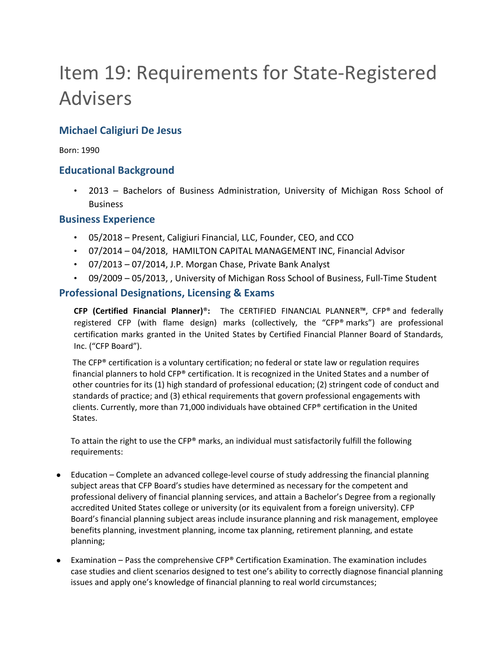# <span id="page-19-0"></span>Item 19: Requirements for State-Registered Advisers

## **Michael Caligiuri De Jesus**

Born: 1990

### **Educational Background**

• 2013 – Bachelors of Business Administration, University of Michigan Ross School of Business

### **Business Experience**

- 05/2018 Present, Caligiuri Financial, LLC, Founder, CEO, and CCO
- 07/2014 04/2018, HAMILTON CAPITAL MANAGEMENT INC, Financial Advisor
- 07/2013 07/2014, J.P. Morgan Chase, Private Bank Analyst
- 09/2009 05/2013, , University of Michigan Ross School of Business, Full-Time Student

### **Professional Designations, Licensing & Exams**

**CFP (Certified Financial Planner)**®**:** The CERTIFIED FINANCIAL PLANNER™, CFP® and federally registered CFP (with flame design) marks (collectively, the "CFP® marks") are professional certification marks granted in the United States by Certified Financial Planner Board of Standards, Inc. ("CFP Board").

The CFP® certification is a voluntary certification; no federal or state law or regulation requires financial planners to hold CFP® certification. It is recognized in the United States and a number of other countries for its (1) high standard of professional education; (2) stringent code of conduct and standards of practice; and (3) ethical requirements that govern professional engagements with clients. Currently, more than 71,000 individuals have obtained CFP® certification in the United States.

To attain the right to use the CFP® marks, an individual must satisfactorily fulfill the following requirements:

- Education Complete an advanced college-level course of study addressing the financial planning subject areas that CFP Board's studies have determined as necessary for the competent and professional delivery of financial planning services, and attain a Bachelor's Degree from a regionally accredited United States college or university (or its equivalent from a foreign university). CFP Board's financial planning subject areas include insurance planning and risk management, employee benefits planning, investment planning, income tax planning, retirement planning, and estate planning;
- Examination Pass the comprehensive  $CFP^*$  Certification Examination. The examination includes case studies and client scenarios designed to test one's ability to correctly diagnose financial planning issues and apply one's knowledge of financial planning to real world circumstances;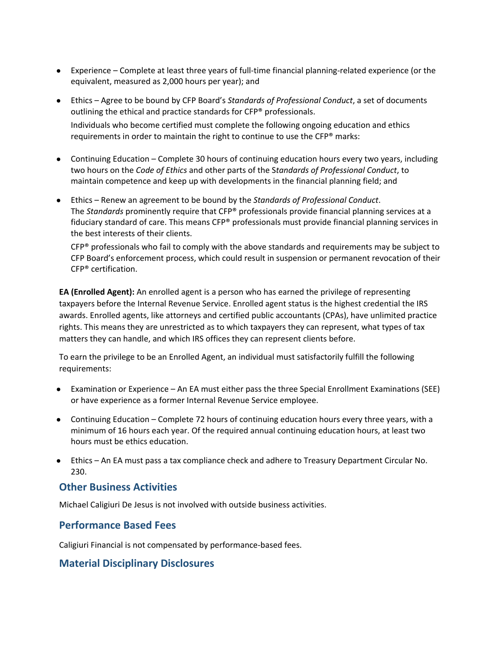- Experience Complete at least three years of full-time financial planning-related experience (or the equivalent, measured as 2,000 hours per year); and
- Ethics Agree to be bound by CFP Board's *Standards of Professional Conduct*, a set of documents outlining the ethical and practice standards for CFP® professionals. Individuals who become certified must complete the following ongoing education and ethics requirements in order to maintain the right to continue to use the CFP® marks:
- Continuing Education Complete 30 hours of continuing education hours every two years, including two hours on the *Code of Ethics* and other parts of the S*tandards of Professional Conduct*, to maintain competence and keep up with developments in the financial planning field; and
- Ethics Renew an agreement to be bound by the *Standards of Professional Conduct*. The *Standards* prominently require that CFP® professionals provide financial planning services at a fiduciary standard of care. This means CFP® professionals must provide financial planning services in the best interests of their clients.

 $CFP<sup>®</sup>$  professionals who fail to comply with the above standards and requirements may be subject to CFP Board's enforcement process, which could result in suspension or permanent revocation of their CFP® certification.

**EA (Enrolled Agent):** An enrolled agent is a person who has earned the privilege of representing taxpayers before the Internal Revenue Service. Enrolled agent status is the highest credential the IRS awards. Enrolled agents, like attorneys and certified public accountants (CPAs), have unlimited practice rights. This means they are unrestricted as to which taxpayers they can represent, what types of tax matters they can handle, and which IRS offices they can represent clients before.

To earn the privilege to be an Enrolled Agent, an individual must satisfactorily fulfill the following requirements:

- Examination or Experience An EA must either pass the three Special Enrollment Examinations (SEE) or have experience as a former Internal Revenue Service employee.
- Continuing Education Complete 72 hours of continuing education hours every three years, with a minimum of 16 hours each year. Of the required annual continuing education hours, at least two hours must be ethics education.
- Ethics An EA must pass a tax compliance check and adhere to Treasury Department Circular No. 230.

## **Other Business Activities**

Michael Caligiuri De Jesus is not involved with outside business activities.

## **Performance Based Fees**

Caligiuri Financial is not compensated by performance-based fees.

## **Material Disciplinary Disclosures**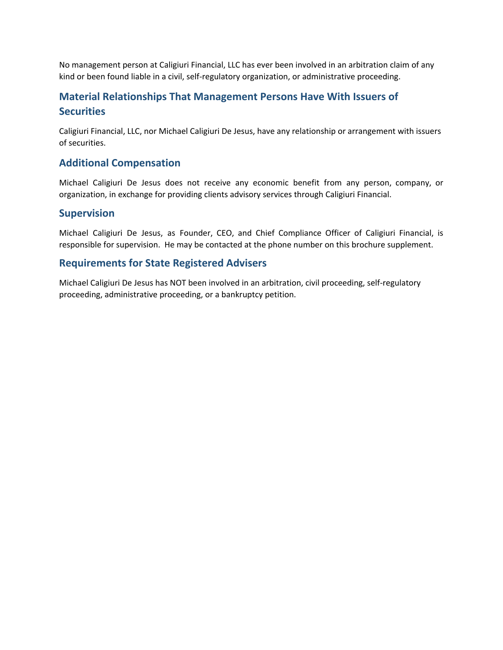No management person at Caligiuri Financial, LLC has ever been involved in an arbitration claim of any kind or been found liable in a civil, self-regulatory organization, or administrative proceeding.

## **Material Relationships That Management Persons Have With Issuers of Securities**

Caligiuri Financial, LLC, nor Michael Caligiuri De Jesus, have any relationship or arrangement with issuers of securities.

### **Additional Compensation**

Michael Caligiuri De Jesus does not receive any economic benefit from any person, company, or organization, in exchange for providing clients advisory services through Caligiuri Financial.

### **Supervision**

Michael Caligiuri De Jesus, as Founder, CEO, and Chief Compliance Officer of Caligiuri Financial, is responsible for supervision. He may be contacted at the phone number on this brochure supplement.

### **Requirements for State Registered Advisers**

Michael Caligiuri De Jesus has NOT been involved in an arbitration, civil proceeding, self-regulatory proceeding, administrative proceeding, or a bankruptcy petition.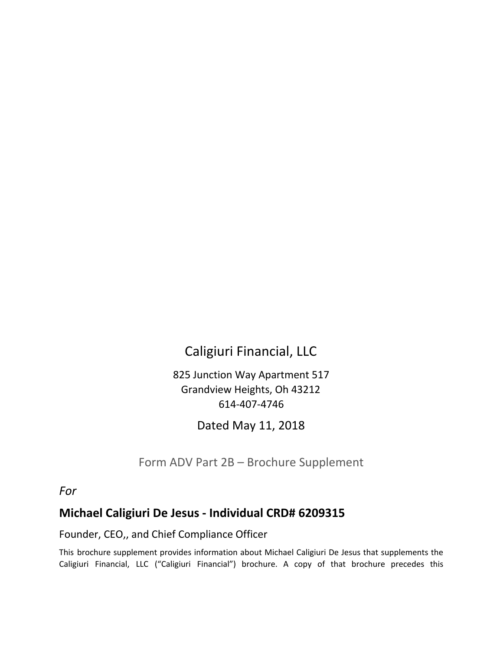## Caligiuri Financial, LLC

825 Junction Way Apartment 517 Grandview Heights, Oh 43212 614-407-4746

Dated May 11, 2018

Form ADV Part 2B – Brochure Supplement

## <span id="page-22-0"></span>*For*

## **Michael Caligiuri De Jesus - Individual CRD# 6209315**

Founder, CEO,, and Chief Compliance Officer

This brochure supplement provides information about Michael Caligiuri De Jesus that supplements the Caligiuri Financial, LLC ("Caligiuri Financial") brochure. A copy of that brochure precedes this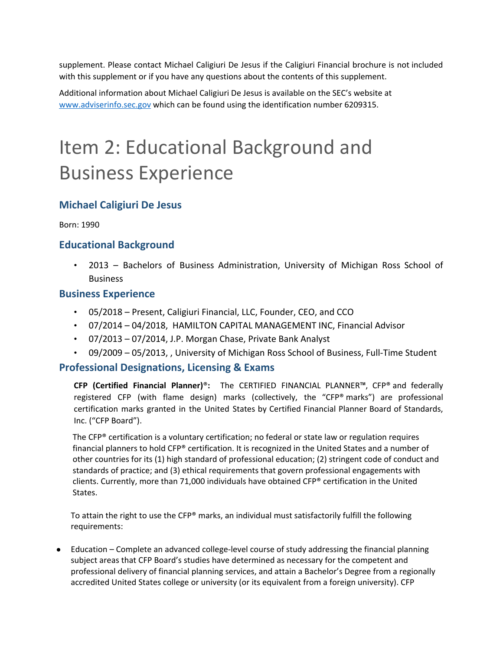supplement. Please contact Michael Caligiuri De Jesus if the Caligiuri Financial brochure is not included with this supplement or if you have any questions about the contents of this supplement.

Additional information about Michael Caligiuri De Jesus is available on the SEC's website at [www.adviserinfo.sec.gov](http://www.adviserinfo.sec.gov/) which can be found using the identification number 6209315.

## Item 2: Educational Background and Business Experience

## **Michael Caligiuri De Jesus**

Born: 1990

## **Educational Background**

• 2013 – Bachelors of Business Administration, University of Michigan Ross School of Business

### **Business Experience**

- 05/2018 Present, Caligiuri Financial, LLC, Founder, CEO, and CCO
- 07/2014 04/2018, HAMILTON CAPITAL MANAGEMENT INC, Financial Advisor
- 07/2013 07/2014, J.P. Morgan Chase, Private Bank Analyst
- 09/2009 05/2013, , University of Michigan Ross School of Business, Full-Time Student

### **Professional Designations, Licensing & Exams**

**CFP (Certified Financial Planner)**®**:** The CERTIFIED FINANCIAL PLANNER™, CFP® and federally registered CFP (with flame design) marks (collectively, the "CFP® marks") are professional certification marks granted in the United States by Certified Financial Planner Board of Standards, Inc. ("CFP Board").

The CFP® certification is a voluntary certification; no federal or state law or regulation requires financial planners to hold CFP® certification. It is recognized in the United States and a number of other countries for its (1) high standard of professional education; (2) stringent code of conduct and standards of practice; and (3) ethical requirements that govern professional engagements with clients. Currently, more than 71,000 individuals have obtained CFP® certification in the United States.

To attain the right to use the CFP® marks, an individual must satisfactorily fulfill the following requirements:

● Education – Complete an advanced college-level course of study addressing the financial planning subject areas that CFP Board's studies have determined as necessary for the competent and professional delivery of financial planning services, and attain a Bachelor's Degree from a regionally accredited United States college or university (or its equivalent from a foreign university). CFP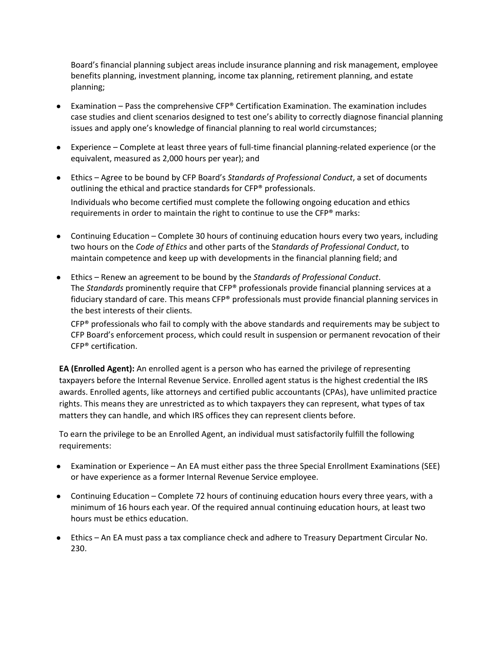Board's financial planning subject areas include insurance planning and risk management, employee benefits planning, investment planning, income tax planning, retirement planning, and estate planning;

- Examination Pass the comprehensive CFP® Certification Examination. The examination includes case studies and client scenarios designed to test one's ability to correctly diagnose financial planning issues and apply one's knowledge of financial planning to real world circumstances;
- Experience Complete at least three years of full-time financial planning-related experience (or the equivalent, measured as 2,000 hours per year); and
- Ethics Agree to be bound by CFP Board's *Standards of Professional Conduct*, a set of documents outlining the ethical and practice standards for CFP® professionals. Individuals who become certified must complete the following ongoing education and ethics requirements in order to maintain the right to continue to use the CFP® marks:
- Continuing Education Complete 30 hours of continuing education hours every two years, including two hours on the *Code of Ethics* and other parts of the S*tandards of Professional Conduct*, to maintain competence and keep up with developments in the financial planning field; and
- Ethics Renew an agreement to be bound by the *Standards of Professional Conduct*. The *Standards* prominently require that CFP® professionals provide financial planning services at a fiduciary standard of care. This means CFP® professionals must provide financial planning services in the best interests of their clients.

 $CFP<sup>®</sup>$  professionals who fail to comply with the above standards and requirements may be subject to CFP Board's enforcement process, which could result in suspension or permanent revocation of their CFP® certification.

**EA (Enrolled Agent):** An enrolled agent is a person who has earned the privilege of representing taxpayers before the Internal Revenue Service. Enrolled agent status is the highest credential the IRS awards. Enrolled agents, like attorneys and certified public accountants (CPAs), have unlimited practice rights. This means they are unrestricted as to which taxpayers they can represent, what types of tax matters they can handle, and which IRS offices they can represent clients before.

To earn the privilege to be an Enrolled Agent, an individual must satisfactorily fulfill the following requirements:

- Examination or Experience An EA must either pass the three Special Enrollment Examinations (SEE) or have experience as a former Internal Revenue Service employee.
- Continuing Education Complete 72 hours of continuing education hours every three years, with a minimum of 16 hours each year. Of the required annual continuing education hours, at least two hours must be ethics education.
- Ethics An EA must pass a tax compliance check and adhere to Treasury Department Circular No. 230.